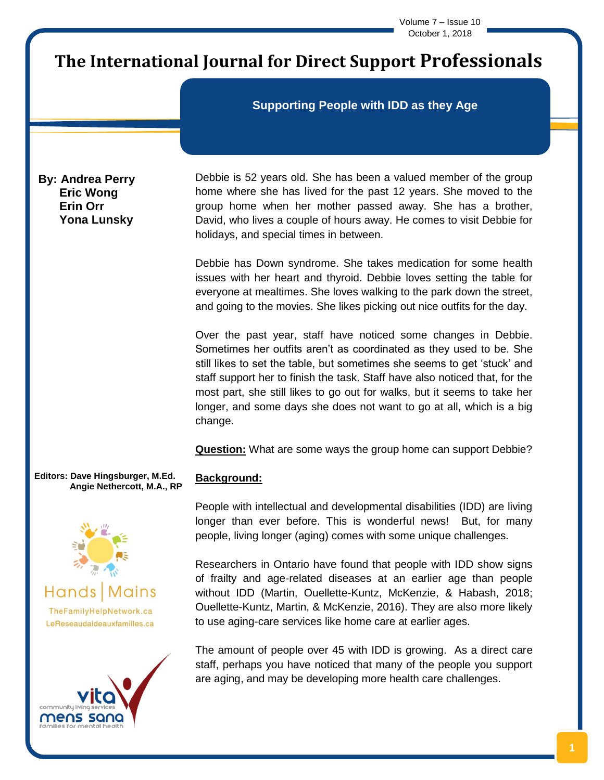Volume 7 – Issue 10 October 1, 2018

# **The International Journal for Direct Support Professionals**

# **Supporting People with IDD as they Age**

**By: Andrea Perry Eric Wong Erin Orr Yona Lunsky**

Debbie is 52 years old. She has been a valued member of the group home where she has lived for the past 12 years. She moved to the group home when her mother passed away. She has a brother, David, who lives a couple of hours away. He comes to visit Debbie for holidays, and special times in between.

Debbie has Down syndrome. She takes medication for some health issues with her heart and thyroid. Debbie loves setting the table for everyone at mealtimes. She loves walking to the park down the street, and going to the movies. She likes picking out nice outfits for the day.

Over the past year, staff have noticed some changes in Debbie. Sometimes her outfits aren't as coordinated as they used to be. She still likes to set the table, but sometimes she seems to get 'stuck' and staff support her to finish the task. Staff have also noticed that, for the most part, she still likes to go out for walks, but it seems to take her longer, and some days she does not want to go at all, which is a big change.

**Question:** What are some ways the group home can support Debbie?

**Editors: Dave Hingsburger, M.Ed. Angie Nethercott, M.A., RP**





**Background:**

People with intellectual and developmental disabilities (IDD) are living longer than ever before. This is wonderful news! But, for many people, living longer (aging) comes with some unique challenges*.* 

Researchers in Ontario have found that people with IDD show signs of frailty and age-related diseases at an earlier age than people without IDD (Martin, Ouellette-Kuntz, McKenzie, & Habash, 2018; Ouellette-Kuntz, Martin, & McKenzie, 2016). They are also more likely to use aging-care services like home care at earlier ages.

The amount of people over 45 with IDD is growing. As a direct care staff, perhaps you have noticed that many of the people you support are aging, and may be developing more health care challenges.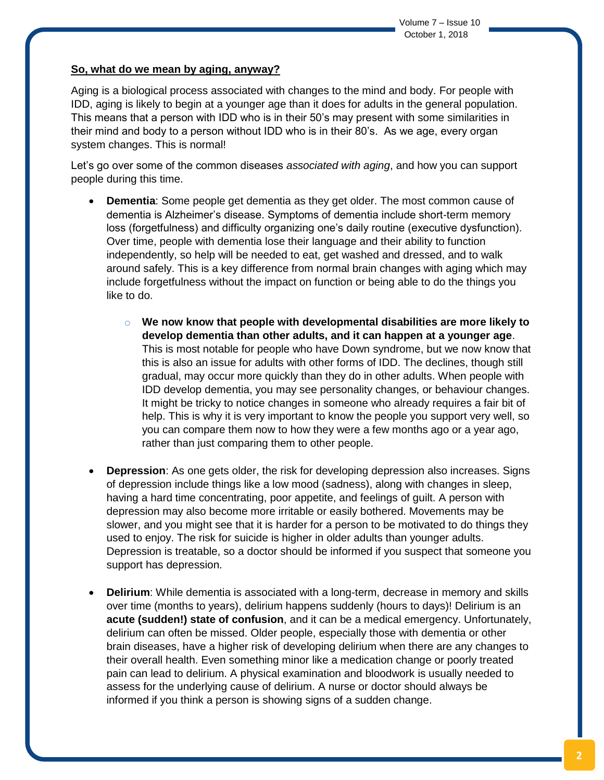# **So, what do we mean by aging, anyway?**

Aging is a biological process associated with changes to the mind and body. For people with IDD, aging is likely to begin at a younger age than it does for adults in the general population. This means that a person with IDD who is in their 50's may present with some similarities in their mind and body to a person without IDD who is in their 80's. As we age, every organ system changes. This is normal!

Let's go over some of the common diseases *associated with aging*, and how you can support people during this time.

- **Dementia**: Some people get dementia as they get older. The most common cause of dementia is Alzheimer's disease. Symptoms of dementia include short-term memory loss (forgetfulness) and difficulty organizing one's daily routine (executive dysfunction). Over time, people with dementia lose their language and their ability to function independently, so help will be needed to eat, get washed and dressed, and to walk around safely. This is a key difference from normal brain changes with aging which may include forgetfulness without the impact on function or being able to do the things you like to do.
	- o **We now know that people with developmental disabilities are more likely to develop dementia than other adults, and it can happen at a younger age**. This is most notable for people who have Down syndrome, but we now know that this is also an issue for adults with other forms of IDD. The declines, though still gradual, may occur more quickly than they do in other adults. When people with IDD develop dementia, you may see personality changes, or behaviour changes. It might be tricky to notice changes in someone who already requires a fair bit of help. This is why it is very important to know the people you support very well, so you can compare them now to how they were a few months ago or a year ago, rather than just comparing them to other people.
- **Depression**: As one gets older, the risk for developing depression also increases. Signs of depression include things like a low mood (sadness), along with changes in sleep, having a hard time concentrating, poor appetite, and feelings of guilt. A person with depression may also become more irritable or easily bothered. Movements may be slower, and you might see that it is harder for a person to be motivated to do things they used to enjoy. The risk for suicide is higher in older adults than younger adults. Depression is treatable, so a doctor should be informed if you suspect that someone you support has depression.
- **Delirium**: While dementia is associated with a long-term, decrease in memory and skills over time (months to years), delirium happens suddenly (hours to days)! Delirium is an **acute (sudden!) state of confusion**, and it can be a medical emergency. Unfortunately, delirium can often be missed. Older people, especially those with dementia or other brain diseases, have a higher risk of developing delirium when there are any changes to their overall health. Even something minor like a medication change or poorly treated pain can lead to delirium. A physical examination and bloodwork is usually needed to assess for the underlying cause of delirium. A nurse or doctor should always be informed if you think a person is showing signs of a sudden change.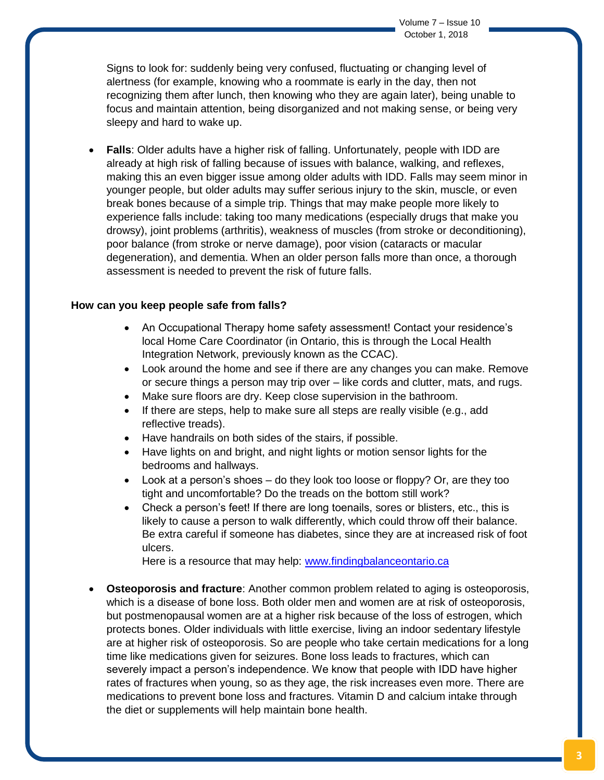Signs to look for: suddenly being very confused, fluctuating or changing level of alertness (for example, knowing who a roommate is early in the day, then not recognizing them after lunch, then knowing who they are again later), being unable to focus and maintain attention, being disorganized and not making sense, or being very sleepy and hard to wake up.

 **Falls**: Older adults have a higher risk of falling. Unfortunately, people with IDD are already at high risk of falling because of issues with balance, walking, and reflexes, making this an even bigger issue among older adults with IDD. Falls may seem minor in younger people, but older adults may suffer serious injury to the skin, muscle, or even break bones because of a simple trip. Things that may make people more likely to experience falls include: taking too many medications (especially drugs that make you drowsy), joint problems (arthritis), weakness of muscles (from stroke or deconditioning), poor balance (from stroke or nerve damage), poor vision (cataracts or macular degeneration), and dementia. When an older person falls more than once, a thorough assessment is needed to prevent the risk of future falls.

#### **How can you keep people safe from falls?**

- An Occupational Therapy home safety assessment! Contact your residence's local Home Care Coordinator (in Ontario, this is through the Local Health Integration Network, previously known as the CCAC).
- Look around the home and see if there are any changes you can make. Remove or secure things a person may trip over – like cords and clutter, mats, and rugs.
- Make sure floors are dry. Keep close supervision in the bathroom.
- $\bullet$  If there are steps, help to make sure all steps are really visible (e.g., add reflective treads).
- Have handrails on both sides of the stairs, if possible.
- Have lights on and bright, and night lights or motion sensor lights for the bedrooms and hallways.
- $\bullet$  Look at a person's shoes do they look too loose or floppy? Or, are they too tight and uncomfortable? Do the treads on the bottom still work?
- Check a person's feet! If there are long toenails, sores or blisters, etc., this is likely to cause a person to walk differently, which could throw off their balance. Be extra careful if someone has diabetes, since they are at increased risk of foot ulcers.

Here is a resource that may help: [www.findingbalanceontario.ca](http://www.findingbalanceontario.ca/)

 **Osteoporosis and fracture**: Another common problem related to aging is osteoporosis, which is a disease of bone loss. Both older men and women are at risk of osteoporosis, but postmenopausal women are at a higher risk because of the loss of estrogen, which protects bones. Older individuals with little exercise, living an indoor sedentary lifestyle are at higher risk of osteoporosis. So are people who take certain medications for a long time like medications given for seizures. Bone loss leads to fractures, which can severely impact a person's independence. We know that people with IDD have higher rates of fractures when young, so as they age, the risk increases even more. There are medications to prevent bone loss and fractures. Vitamin D and calcium intake through the diet or supplements will help maintain bone health.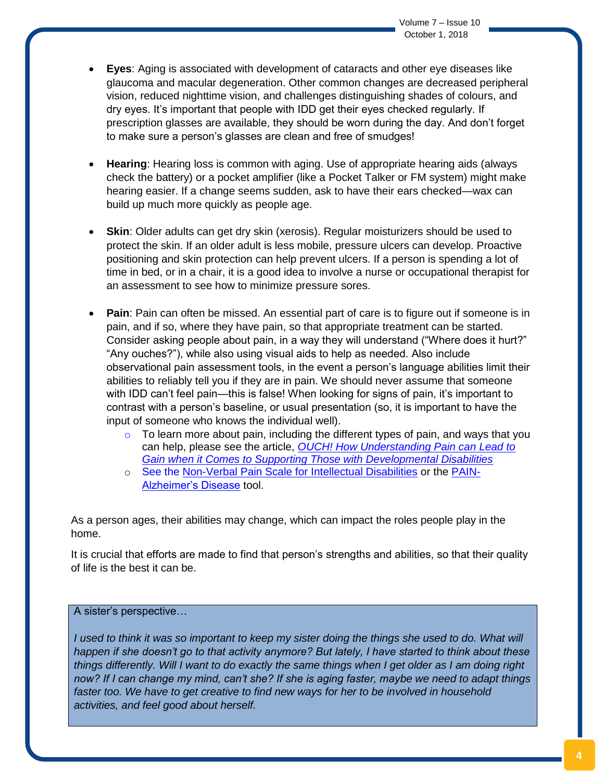- **Eyes**: Aging is associated with development of cataracts and other eye diseases like glaucoma and macular degeneration. Other common changes are decreased peripheral vision, reduced nighttime vision, and challenges distinguishing shades of colours, and dry eyes. It's important that people with IDD get their eyes checked regularly. If prescription glasses are available, they should be worn during the day. And don't forget to make sure a person's glasses are clean and free of smudges!
- **Hearing**: Hearing loss is common with aging. Use of appropriate hearing aids (always check the battery) or a pocket amplifier (like a Pocket Talker or FM system) might make hearing easier. If a change seems sudden, ask to have their ears checked—wax can build up much more quickly as people age.
- **Skin**: Older adults can get dry skin (xerosis). Regular moisturizers should be used to protect the skin. If an older adult is less mobile, pressure ulcers can develop. Proactive positioning and skin protection can help prevent ulcers. If a person is spending a lot of time in bed, or in a chair, it is a good idea to involve a nurse or occupational therapist for an assessment to see how to minimize pressure sores.
- **Pain**: Pain can often be missed. An essential part of care is to figure out if someone is in pain, and if so, where they have pain, so that appropriate treatment can be started. Consider asking people about pain, in a way they will understand ("Where does it hurt?" "Any ouches?"), while also using visual aids to help as needed. Also include observational pain assessment tools, in the event a person's language abilities limit their abilities to reliably tell you if they are in pain. We should never assume that someone with IDD can't feel pain—this is false! When looking for signs of pain, it's important to contrast with a person's baseline, or usual presentation (so, it is important to have the input of someone who knows the individual well).
	- $\circ$  To learn more about pain, including the different types of pain, and ways that you can help, please see the article, *[OUCH! How Understanding Pain can Lead to](http://www.vitacls.org/UserFiles/uploads/files/sss%20vol%206%20issue%205%20-%20ENGLISH.pdf)  [Gain when it Comes to Supporting Those with Developmental Disabilities](http://www.vitacls.org/UserFiles/uploads/files/sss%20vol%206%20issue%205%20-%20ENGLISH.pdf)*
	- o See the [Non-Verbal Pain Scale for Intellectual Disabilities](http://www.pediatric-pain.ca/wp-content/uploads/2013/04/CPSNAID.pdf) or the [PAIN-](http://dementiapathways.ie/_filecache/04a/ddd/98-painad.pdf)[Alzheimer's Disease](http://dementiapathways.ie/_filecache/04a/ddd/98-painad.pdf) tool.

As a person ages, their abilities may change, which can impact the roles people play in the home.

It is crucial that efforts are made to find that person's strengths and abilities, so that their quality of life is the best it can be.

# A sister's perspective…

*I* used to think it was so important to keep my sister doing the things she used to do. What will *happen if she doesn't go to that activity anymore? But lately, I have started to think about these things differently. Will I want to do exactly the same things when I get older as I am doing right now? If I can change my mind, can't she? If she is aging faster, maybe we need to adapt things faster too. We have to get creative to find new ways for her to be involved in household activities, and feel good about herself.*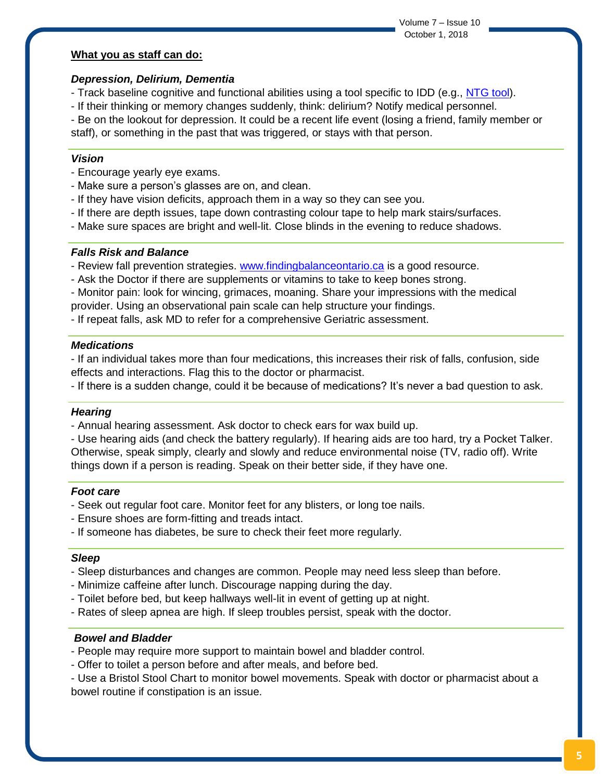Volume 7 – Issue 10 October 1, 2018

## **What you as staff can do:**

## *Depression, Delirium, Dementia*

- Track baseline cognitive and functional abilities using a tool specific to IDD (e.g., [NTG tool\)](http://aadmd.org/ntg/screening).
- If their thinking or memory changes suddenly, think: delirium? Notify medical personnel.

- Be on the lookout for depression. It could be a recent life event (losing a friend, family member or staff), or something in the past that was triggered, or stays with that person.

## *Vision*

- Encourage yearly eye exams.
- Make sure a person's glasses are on, and clean.
- If they have vision deficits, approach them in a way so they can see you.
- If there are depth issues, tape down contrasting colour tape to help mark stairs/surfaces.
- Make sure spaces are bright and well-lit. Close blinds in the evening to reduce shadows.

## *Falls Risk and Balance*

- Review fall prevention strategies. [www.findingbalanceontario.ca](http://www.findingbalanceontario.ca/) is a good resource.
- Ask the Doctor if there are supplements or vitamins to take to keep bones strong.
- Monitor pain: look for wincing, grimaces, moaning. Share your impressions with the medical provider. Using an observational pain scale can help structure your findings.
- If repeat falls, ask MD to refer for a comprehensive Geriatric assessment.

#### *Medications*

- If an individual takes more than four medications, this increases their risk of falls, confusion, side effects and interactions. Flag this to the doctor or pharmacist.

- If there is a sudden change, could it be because of medications? It's never a bad question to ask.

#### *Hearing*

- Annual hearing assessment. Ask doctor to check ears for wax build up.

- Use hearing aids (and check the battery regularly). If hearing aids are too hard, try a Pocket Talker. Otherwise, speak simply, clearly and slowly and reduce environmental noise (TV, radio off). Write things down if a person is reading. Speak on their better side, if they have one.

#### *Foot care*

- Seek out regular foot care. Monitor feet for any blisters, or long toe nails.
- Ensure shoes are form-fitting and treads intact.
- If someone has diabetes, be sure to check their feet more regularly.

#### *Sleep*

- Sleep disturbances and changes are common. People may need less sleep than before.
- Minimize caffeine after lunch. Discourage napping during the day.
- Toilet before bed, but keep hallways well-lit in event of getting up at night.
- Rates of sleep apnea are high. If sleep troubles persist, speak with the doctor.

#### *Bowel and Bladder*

- People may require more support to maintain bowel and bladder control.
- Offer to toilet a person before and after meals, and before bed.
- Use a Bristol Stool Chart to monitor bowel movements. Speak with doctor or pharmacist about a bowel routine if constipation is an issue.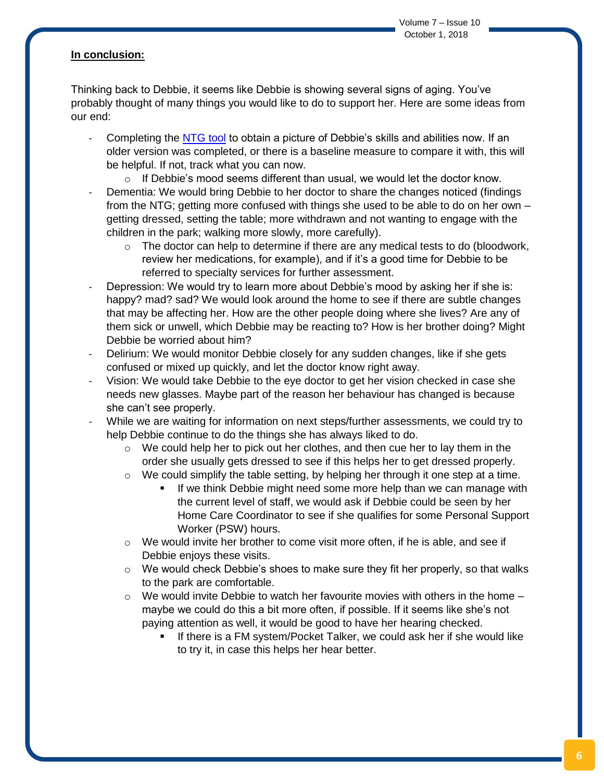# **In conclusion:**

Thinking back to Debbie, it seems like Debbie is showing several signs of aging. You've probably thought of many things you would like to do to support her. Here are some ideas from our end:

- Completing the [NTG tool](http://aadmd.org/ntg/screening) to obtain a picture of Debbie's skills and abilities now. If an older version was completed, or there is a baseline measure to compare it with, this will be helpful. If not, track what you can now.
	- $\circ$  If Debbie's mood seems different than usual, we would let the doctor know.
- Dementia: We would bring Debbie to her doctor to share the changes noticed (findings) from the NTG; getting more confused with things she used to be able to do on her own – getting dressed, setting the table; more withdrawn and not wanting to engage with the children in the park; walking more slowly, more carefully).
	- $\circ$  The doctor can help to determine if there are any medical tests to do (bloodwork, review her medications, for example), and if it's a good time for Debbie to be referred to specialty services for further assessment.
- Depression: We would try to learn more about Debbie's mood by asking her if she is: happy? mad? sad? We would look around the home to see if there are subtle changes that may be affecting her. How are the other people doing where she lives? Are any of them sick or unwell, which Debbie may be reacting to? How is her brother doing? Might Debbie be worried about him?
- Delirium: We would monitor Debbie closely for any sudden changes, like if she gets confused or mixed up quickly, and let the doctor know right away.
- Vision: We would take Debbie to the eye doctor to get her vision checked in case she needs new glasses. Maybe part of the reason her behaviour has changed is because she can't see properly.
- While we are waiting for information on next steps/further assessments, we could try to help Debbie continue to do the things she has always liked to do.
	- $\circ$  We could help her to pick out her clothes, and then cue her to lay them in the order she usually gets dressed to see if this helps her to get dressed properly.
	- $\circ$  We could simplify the table setting, by helping her through it one step at a time.
		- If we think Debbie might need some more help than we can manage with the current level of staff, we would ask if Debbie could be seen by her Home Care Coordinator to see if she qualifies for some Personal Support Worker (PSW) hours.
	- $\circ$  We would invite her brother to come visit more often, if he is able, and see if Debbie enjoys these visits.
	- $\circ$  We would check Debbie's shoes to make sure they fit her properly, so that walks to the park are comfortable.
	- $\circ$  We would invite Debbie to watch her favourite movies with others in the home  $$ maybe we could do this a bit more often, if possible. If it seems like she's not paying attention as well, it would be good to have her hearing checked.
		- If there is a FM system/Pocket Talker, we could ask her if she would like to try it, in case this helps her hear better.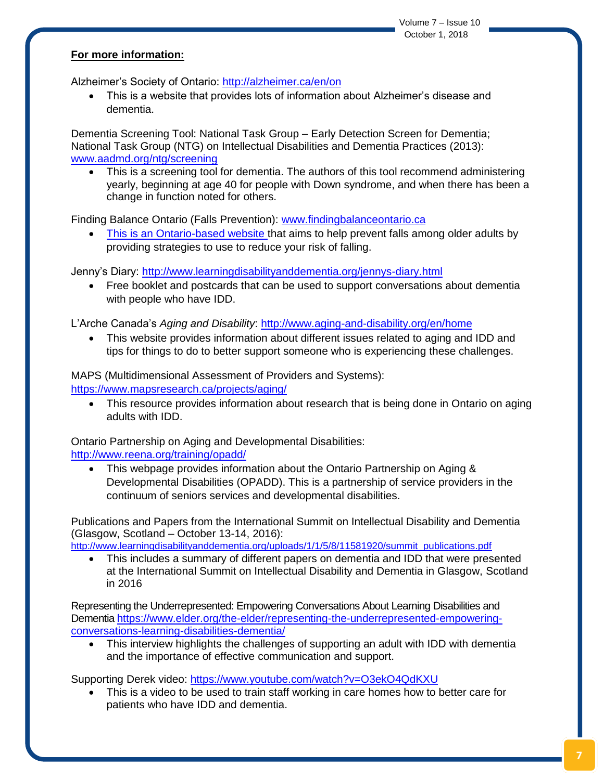# **For more information:**

Alzheimer's Society of Ontario:<http://alzheimer.ca/en/on>

 This is a website that provides lots of information about Alzheimer's disease and dementia.

Dementia Screening Tool: National Task Group – Early Detection Screen for Dementia; National Task Group (NTG) on Intellectual Disabilities and Dementia Practices (2013): [www.aadmd.org/ntg/screening](file:///C:/Users/andrea.perry/AppData/Local/Microsoft/Windows/INetCache/Content.Outlook/TAMG32VM/www.aadmd.org/ntg/screening) 

 This is a screening tool for dementia. The authors of this tool recommend administering yearly, beginning at age 40 for people with Down syndrome, and when there has been a change in function noted for others.

Finding Balance Ontario (Falls Prevention): [www.findingbalanceontario.ca](http://www.findingbalanceontario.ca/)

• This is an Ontario-based website that aims to help prevent falls among older adults by providing strategies to use to reduce your risk of falling.

Jenny's Diary:<http://www.learningdisabilityanddementia.org/jennys-diary.html>

 Free booklet and postcards that can be used to support conversations about dementia with people who have IDD.

L'Arche Canada's *Aging and Disability*:<http://www.aging-and-disability.org/en/home>

 This website provides information about different issues related to aging and IDD and tips for things to do to better support someone who is experiencing these challenges.

MAPS (Multidimensional Assessment of Providers and Systems):

<https://www.mapsresearch.ca/projects/aging/>

 This resource provides information about research that is being done in Ontario on aging adults with IDD.

Ontario Partnership on Aging and Developmental Disabilities: <http://www.reena.org/training/opadd/>

 This webpage provides information about the Ontario Partnership on Aging & Developmental Disabilities (OPADD). This is a partnership of service providers in the continuum of seniors services and developmental disabilities.

Publications and Papers from the International Summit on Intellectual Disability and Dementia (Glasgow, Scotland – October 13-14, 2016):

[http://www.learningdisabilityanddementia.org/uploads/1/1/5/8/11581920/summit\\_publications.pdf](http://www.learningdisabilityanddementia.org/uploads/1/1/5/8/11581920/summit_publications.pdf)

 This includes a summary of different papers on dementia and IDD that were presented at the International Summit on Intellectual Disability and Dementia in Glasgow, Scotland in 2016

Representing the Underrepresented: Empowering Conversations About Learning Disabilities and Dementi[a https://www.elder.org/the-elder/representing-the-underrepresented-empowering](https://www.elder.org/the-elder/representing-the-underrepresented-empowering-conversations-learning-disabilities-dementia/)[conversations-learning-disabilities-dementia/](https://www.elder.org/the-elder/representing-the-underrepresented-empowering-conversations-learning-disabilities-dementia/)

 This interview highlights the challenges of supporting an adult with IDD with dementia and the importance of effective communication and support.

Supporting Derek video:<https://www.youtube.com/watch?v=O3ekO4QdKXU>

 This is a video to be used to train staff working in care homes how to better care for patients who have IDD and dementia.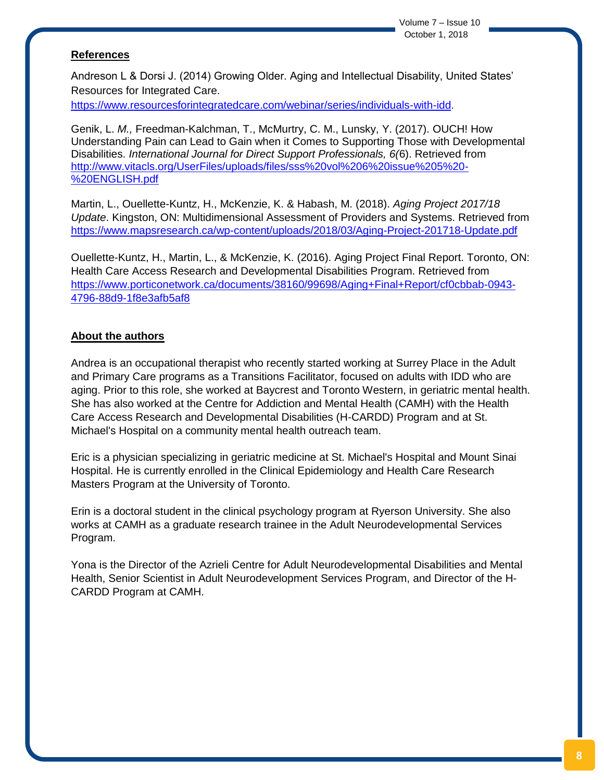Volume 7 – Issue 10 October 1, 2018

# **References**

Andreson L & Dorsi J. (2014) Growing Older. Aging and Intellectual Disability, United States' Resources for Integrated Care.

[https://www.resourcesforintegratedcare.com/webinar/series/individuals-with-idd.](https://www.resourcesforintegratedcare.com/webinar/series/individuals-with-idd)

Genik, L. *M.,* Freedman-Kalchman, T., McMurtry, C. M., Lunsky, Y. (2017). OUCH! How Understanding Pain can Lead to Gain when it Comes to Supporting Those with Developmental Disabilities. *International Journal for Direct Support Professionals, 6(*6). Retrieved from [http://www.vitacls.org/UserFiles/uploads/files/sss%20vol%206%20issue%205%20-](http://www.vitacls.org/UserFiles/uploads/files/sss%20vol%206%20issue%205%20-%20ENGLISH.pdf) [%20ENGLISH.pdf](http://www.vitacls.org/UserFiles/uploads/files/sss%20vol%206%20issue%205%20-%20ENGLISH.pdf)

Martin, L., Ouellette-Kuntz, H., McKenzie, K. & Habash, M. (2018). *Aging Project 2017/18 Update*. Kingston, ON: Multidimensional Assessment of Providers and Systems. Retrieved from <https://www.mapsresearch.ca/wp-content/uploads/2018/03/Aging-Project-201718-Update.pdf>

Ouellette-Kuntz, H., Martin, L., & McKenzie, K. (2016). Aging Project Final Report. Toronto, ON: Health Care Access Research and Developmental Disabilities Program. Retrieved from [https://www.porticonetwork.ca/documents/38160/99698/Aging+Final+Report/cf0cbbab-0943-](https://www.porticonetwork.ca/documents/38160/99698/Aging+Final+Report/cf0cbbab-0943-4796-88d9-1f8e3afb5af8) [4796-88d9-1f8e3afb5af8](https://www.porticonetwork.ca/documents/38160/99698/Aging+Final+Report/cf0cbbab-0943-4796-88d9-1f8e3afb5af8)

#### **About the authors**

Andrea is an occupational therapist who recently started working at Surrey Place in the Adult and Primary Care programs as a Transitions Facilitator, focused on adults with IDD who are aging. Prior to this role, she worked at Baycrest and Toronto Western, in geriatric mental health. She has also worked at the Centre for Addiction and Mental Health (CAMH) with the Health Care Access Research and Developmental Disabilities (H-CARDD) Program and at St. Michael's Hospital on a community mental health outreach team.

Eric is a physician specializing in geriatric medicine at St. Michael's Hospital and Mount Sinai Hospital. He is currently enrolled in the Clinical Epidemiology and Health Care Research Masters Program at the University of Toronto.

Erin is a doctoral student in the clinical psychology program at Ryerson University. She also works at CAMH as a graduate research trainee in the Adult Neurodevelopmental Services Program.

Yona is the Director of the Azrieli Centre for Adult Neurodevelopmental Disabilities and Mental Health, Senior Scientist in Adult Neurodevelopment Services Program, and Director of the H-CARDD Program at CAMH.